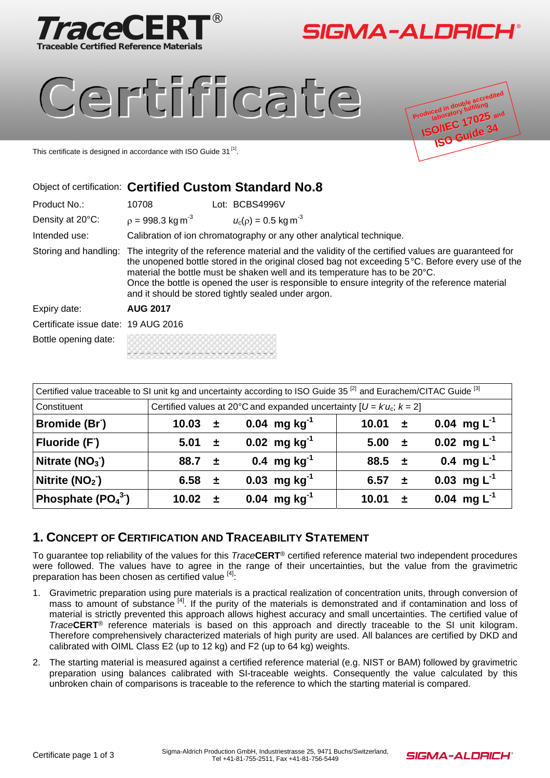



# Certificate



This certificate is designed in accordance with ISO Guide 31<sup>[1]</sup>.

# Object of certification: **Certified Custom Standard No.8**

| Product No.:                        | 10708                                                                                                                                                                                                                                                                                                                                                                                                                                            |  | Lot: BCBS4996V                       |  |  |
|-------------------------------------|--------------------------------------------------------------------------------------------------------------------------------------------------------------------------------------------------------------------------------------------------------------------------------------------------------------------------------------------------------------------------------------------------------------------------------------------------|--|--------------------------------------|--|--|
| Density at 20°C:                    | $p = 998.3$ kg m <sup>-3</sup>                                                                                                                                                                                                                                                                                                                                                                                                                   |  | $u_c(\rho) = 0.5$ kg m <sup>-3</sup> |  |  |
| Intended use:                       | Calibration of ion chromatography or any other analytical technique.                                                                                                                                                                                                                                                                                                                                                                             |  |                                      |  |  |
| Storing and handling:               | The integrity of the reference material and the validity of the certified values are guaranteed for<br>the unopened bottle stored in the original closed bag not exceeding 5°C. Before every use of the<br>material the bottle must be shaken well and its temperature has to be 20°C.<br>Once the bottle is opened the user is responsible to ensure integrity of the reference material<br>and it should be stored tightly sealed under argon. |  |                                      |  |  |
| Expiry date:                        | <b>AUG 2017</b>                                                                                                                                                                                                                                                                                                                                                                                                                                  |  |                                      |  |  |
| Certificate issue date: 19 AUG 2016 |                                                                                                                                                                                                                                                                                                                                                                                                                                                  |  |                                      |  |  |
| Bottle opening date:                |                                                                                                                                                                                                                                                                                                                                                                                                                                                  |  |                                      |  |  |

| Certified value traceable to SI unit kg and uncertainty according to ISO Guide 35 <sup>[2]</sup> and Eurachem/CITAC Guide <sup>[3]</sup> |                                                                       |                      |                   |                        |                  |  |
|------------------------------------------------------------------------------------------------------------------------------------------|-----------------------------------------------------------------------|----------------------|-------------------|------------------------|------------------|--|
| Constituent                                                                                                                              | Certified values at 20°C and expanded uncertainty $[U = Ku_c; k = 2]$ |                      |                   |                        |                  |  |
| Bromide (Br <sup>-</sup> )                                                                                                               | 10.03                                                                 | $\div$               | 0.04 mg $kg^{-1}$ | 10.01 $\pm$            | 0.04 mg $L^{-1}$ |  |
| Fluoride (F)                                                                                                                             | $5.01 \pm$                                                            |                      | 0.02 mg $kg^{-1}$ | $5.00 +$               | 0.02 mg $L^{-1}$ |  |
| Nitrate $(NO3)$                                                                                                                          | 88.7 $\pm$                                                            |                      | 0.4 mg $kg^{-1}$  | $88.5 +$               | 0.4 mg $L^{-1}$  |  |
| Nitrite $(NO2)$                                                                                                                          | 6.58                                                                  | 一曲                   | 0.03 mg $kg^{-1}$ | 6.57 $\pm$             | 0.03 mg $L^{-1}$ |  |
| Phosphate $(PO43)$                                                                                                                       | 10.02                                                                 | $\ddot{\phantom{1}}$ | 0.04 mg $kg^{-1}$ | 10.01<br>$\rightarrow$ | 0.04 mg $L^{-1}$ |  |

#### **1. CONCEPT OF CERTIFICATION AND TRACEABILITY STATEMENT**

To guarantee top reliability of the values for this *Trace***CERT**® certified reference material two independent procedures were followed. The values have to agree in the range of their uncertainties, but the value from the gravimetric preparation has been chosen as certified value [4]:

- 1. Gravimetric preparation using pure materials is a practical realization of concentration units, through conversion of mass to amount of substance <sup>[4]</sup>. If the purity of the materials is demonstrated and if contamination and loss of material is strictly prevented this approach allows highest accuracy and small uncertainties. The certified value of *Trace***CERT**® reference materials is based on this approach and directly traceable to the SI unit kilogram. Therefore comprehensively characterized materials of high purity are used. All balances are certified by DKD and calibrated with OIML Class E2 (up to 12 kg) and F2 (up to 64 kg) weights.
- 2. The starting material is measured against a certified reference material (e.g. NIST or BAM) followed by gravimetric preparation using balances calibrated with SI-traceable weights. Consequently the value calculated by this unbroken chain of comparisons is traceable to the reference to which the starting material is compared.

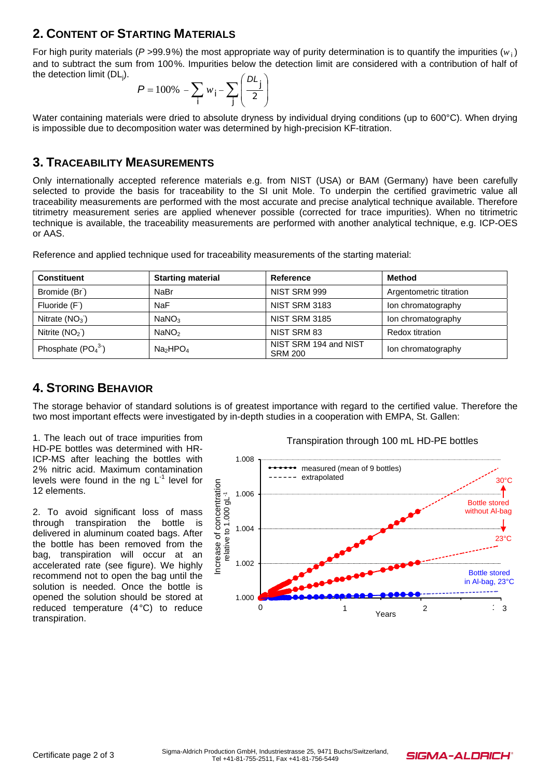## **2. CONTENT OF STARTING MATERIALS**

For high purity materials ( $P > 99.9\%$ ) the most appropriate way of purity determination is to quantify the impurities ( $w_i$ ) and to subtract the sum from 100%. Impurities below the detection limit are considered with a contribution of half of the detection limit (DL<sub>j</sub>).

$$
P = 100\% - \sum_{i} w_i - \sum_{j} \left(\frac{DL_j}{2}\right)
$$

Water containing materials were dried to absolute dryness by individual drying conditions (up to 600°C). When drying is impossible due to decomposition water was determined by high-precision KF-titration.

#### **3. TRACEABILITY MEASUREMENTS**

Only internationally accepted reference materials e.g. from NIST (USA) or BAM (Germany) have been carefully selected to provide the basis for traceability to the SI unit Mole. To underpin the certified gravimetric value all traceability measurements are performed with the most accurate and precise analytical technique available. Therefore titrimetry measurement series are applied whenever possible (corrected for trace impurities). When no titrimetric technique is available, the traceability measurements are performed with another analytical technique, e.g. ICP-OES or AAS.

| <b>Constituent</b>         | <b>Starting material</b>         | Reference                               | Method                  |
|----------------------------|----------------------------------|-----------------------------------------|-------------------------|
| Bromide (Br <sup>-</sup> ) | NaBr                             | NIST SRM 999                            | Argentometric titration |
| Fluoride (F)               | <b>NaF</b>                       | <b>NIST SRM 3183</b>                    | Ion chromatography      |
| Nitrate $(NO3)$            | NaNO <sub>3</sub>                | <b>NIST SRM 3185</b>                    | Ion chromatography      |
| Nitrite $(NO2)$            | NaNO <sub>2</sub>                | NIST SRM 83                             | <b>Redox titration</b>  |
| Phosphate $(PO43)$         | Na <sub>2</sub> HPO <sub>4</sub> | NIST SRM 194 and NIST<br><b>SRM 200</b> | lon chromatography      |

Reference and applied technique used for traceability measurements of the starting material:

## **4. STORING BEHAVIOR**

The storage behavior of standard solutions is of greatest importance with regard to the certified value. Therefore the two most important effects were investigated by in-depth studies in a cooperation with EMPA, St. Gallen:

1. The leach out of trace impurities from HD-PE bottles was determined with HR-ICP-MS after leaching the bottles with 2% nitric acid. Maximum contamination levels were found in the ng  $L^{-1}$  level for 12 elements.

2. To avoid significant loss of mass through transpiration the bottle is delivered in aluminum coated bags. After the bottle has been removed from the bag, transpiration will occur at an accelerated rate (see figure). We highly recommend not to open the bag until the solution is needed. Once the bottle is opened the solution should be stored at reduced temperature (4°C) to reduce transpiration.

Transpiration through 100 mL HD-PE bottles



SIGMA-ALDRICH®